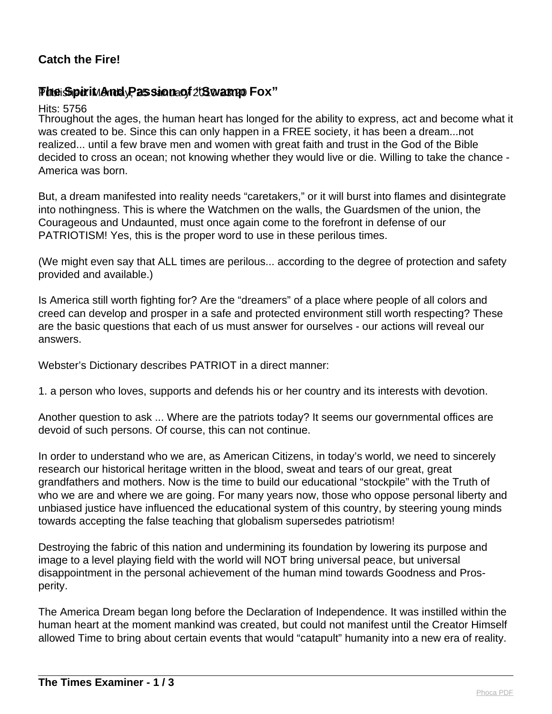## **Catch the Fire!**

## **PheiSpirit Andy Passion of 203 warm Fox"**

Hits: 5756

Throughout the ages, the human heart has longed for the ability to express, act and become what it was created to be. Since this can only happen in a FREE society, it has been a dream...not realized... until a few brave men and women with great faith and trust in the God of the Bible decided to cross an ocean; not knowing whether they would live or die. Willing to take the chance - America was born.

But, a dream manifested into reality needs "caretakers," or it will burst into flames and disintegrate into nothingness. This is where the Watchmen on the walls, the Guardsmen of the union, the Courageous and Undaunted, must once again come to the forefront in defense of our PATRIOTISM! Yes, this is the proper word to use in these perilous times.

(We might even say that ALL times are perilous... according to the degree of protection and safety provided and available.)

Is America still worth fighting for? Are the "dreamers" of a place where people of all colors and creed can develop and prosper in a safe and protected environment still worth respecting? These are the basic questions that each of us must answer for ourselves - our actions will reveal our answers.

Webster's Dictionary describes PATRIOT in a direct manner:

1. a person who loves, supports and defends his or her country and its interests with devotion.

Another question to ask ... Where are the patriots today? It seems our governmental offices are devoid of such persons. Of course, this can not continue.

In order to understand who we are, as American Citizens, in today's world, we need to sincerely research our historical heritage written in the blood, sweat and tears of our great, great grandfathers and mothers. Now is the time to build our educational "stockpile" with the Truth of who we are and where we are going. For many years now, those who oppose personal liberty and unbiased justice have influenced the educational system of this country, by steering young minds towards accepting the false teaching that globalism supersedes patriotism!

Destroying the fabric of this nation and undermining its foundation by lowering its purpose and image to a level playing field with the world will NOT bring universal peace, but universal disappointment in the personal achievement of the human mind towards Goodness and Prosperity.

The America Dream began long before the Declaration of Independence. It was instilled within the human heart at the moment mankind was created, but could not manifest until the Creator Himself allowed Time to bring about certain events that would "catapult" humanity into a new era of reality.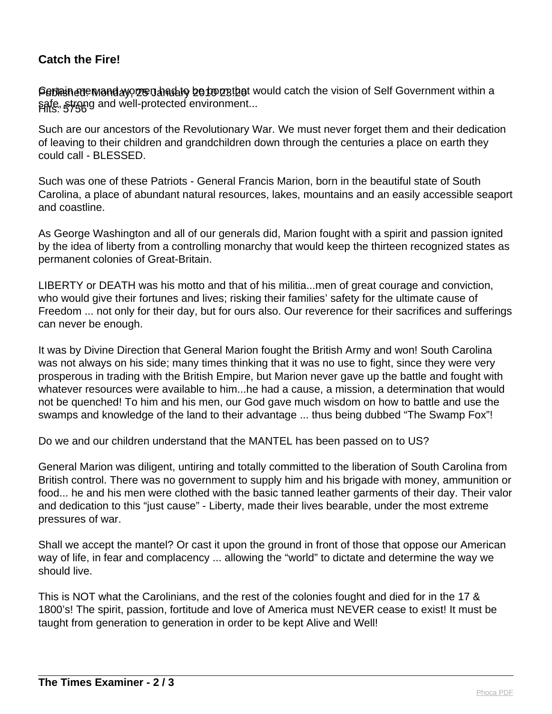## **Catch the Fire!**

Peblain cue Manday, 25 Uand to be born that would catch the vision of Self Government within a safe, strong and well-protected environment...<br>Hits: 5756

Such are our ancestors of the Revolutionary War. We must never forget them and their dedication of leaving to their children and grandchildren down through the centuries a place on earth they could call - BLESSED.

Such was one of these Patriots - General Francis Marion, born in the beautiful state of South Carolina, a place of abundant natural resources, lakes, mountains and an easily accessible seaport and coastline.

As George Washington and all of our generals did, Marion fought with a spirit and passion ignited by the idea of liberty from a controlling monarchy that would keep the thirteen recognized states as permanent colonies of Great-Britain.

LIBERTY or DEATH was his motto and that of his militia...men of great courage and conviction, who would give their fortunes and lives; risking their families' safety for the ultimate cause of Freedom ... not only for their day, but for ours also. Our reverence for their sacrifices and sufferings can never be enough.

It was by Divine Direction that General Marion fought the British Army and won! South Carolina was not always on his side; many times thinking that it was no use to fight, since they were very prosperous in trading with the British Empire, but Marion never gave up the battle and fought with whatever resources were available to him...he had a cause, a mission, a determination that would not be quenched! To him and his men, our God gave much wisdom on how to battle and use the swamps and knowledge of the land to their advantage ... thus being dubbed "The Swamp Fox"!

Do we and our children understand that the MANTEL has been passed on to US?

General Marion was diligent, untiring and totally committed to the liberation of South Carolina from British control. There was no government to supply him and his brigade with money, ammunition or food... he and his men were clothed with the basic tanned leather garments of their day. Their valor and dedication to this "just cause" - Liberty, made their lives bearable, under the most extreme pressures of war.

Shall we accept the mantel? Or cast it upon the ground in front of those that oppose our American way of life, in fear and complacency ... allowing the "world" to dictate and determine the way we should live.

This is NOT what the Carolinians, and the rest of the colonies fought and died for in the 17 & 1800's! The spirit, passion, fortitude and love of America must NEVER cease to exist! It must be taught from generation to generation in order to be kept Alive and Well!